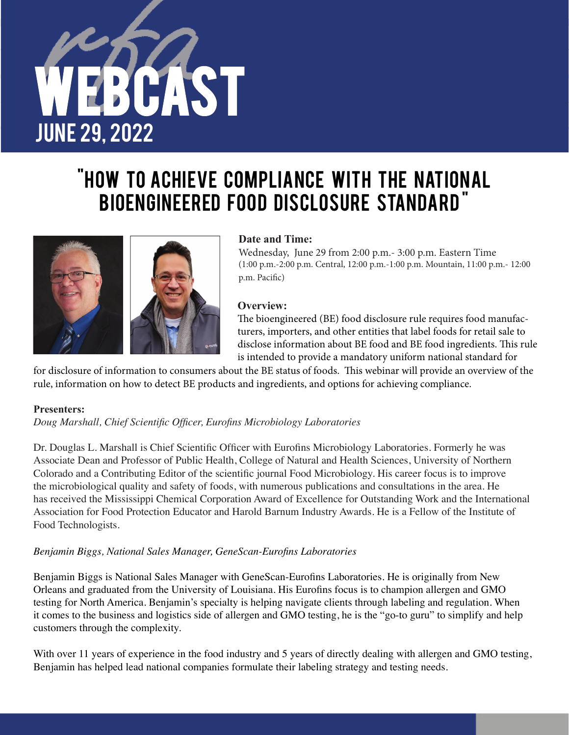

# "HOW TO ACHIEVE COMPLIANCE WITH THE NATIONAL BIOENGINEERED FOOD DISCLOSURE STANDARD"



# **Date and Time:**

Wednesday, June 29 from 2:00 p.m.- 3:00 p.m. Eastern Time (1:00 p.m.-2:00 p.m. Central, 12:00 p.m.-1:00 p.m. Mountain, 11:00 p.m.- 12:00 p.m. Pacifc)

## **Overview:**

The bioengineered (BE) food disclosure rule requires food manufacturers, importers, and other entities that label foods for retail sale to disclose information about BE food and BE food ingredients. This rule is intended to provide a mandatory uniform national standard for

for disclosure of information to consumers about the BE status of foods. This webinar will provide an overview of the rule, information on how to detect BE products and ingredients, and options for achieving compliance.

### **Presenters:**

*Doug Marshall, Chief Scientifc Offcer, Eurofns Microbiology Laboratories*

Dr. Douglas L. Marshall is Chief Scientific Officer with Eurofins Microbiology Laboratories. Formerly he was Associate Dean and Professor of Public Health, College of Natural and Health Sciences, University of Northern Colorado and a Contributing Editor of the scientifc journal Food Microbiology. His career focus is to improve the microbiological quality and safety of foods, with numerous publications and consultations in the area. He has received the Mississippi Chemical Corporation Award of Excellence for Outstanding Work and the International Association for Food Protection Educator and Harold Barnum Industry Awards. He is a Fellow of the Institute of Food Technologists.

# *Benjamin Biggs, National Sales Manager, GeneScan-Eurofns Laboratories*

Benjamin Biggs is National Sales Manager with GeneScan-Eurofns Laboratories. He is originally from New Orleans and graduated from the University of Louisiana. His Eurofns focus is to champion allergen and GMO testing for North America. Benjamin's specialty is helping navigate clients through labeling and regulation. When it comes to the business and logistics side of allergen and GMO testing, he is the "go-to guru" to simplify and help customers through the complexity.

With over 11 years of experience in the food industry and 5 years of directly dealing with allergen and GMO testing, Benjamin has helped lead national companies formulate their labeling strategy and testing needs.